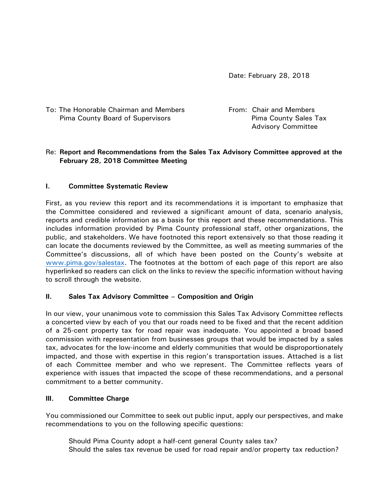Date: February 28, 2018

| To: The Honorable Chairman and Members | From: Chair and Members      |
|----------------------------------------|------------------------------|
| Pima County Board of Supervisors       | <b>Pima County Sales Tax</b> |
|                                        | <b>Advisory Committee</b>    |

# Re: **Report and Recommendations from the Sales Tax Advisory Committee approved at the February 28, 2018 Committee Meeting**

## **I. Committee Systematic Review**

First, as you review this report and its recommendations it is important to emphasize that the Committee considered and reviewed a significant amount of data, scenario analysis, reports and credible information as a basis for this report and these recommendations. This includes information provided by Pima County professional staff, other organizations, the public, and stakeholders. We have footnoted this report extensively so that those reading it can locate the documents reviewed by the Committee, as well as meeting summaries of the Committee's discussions, all of which have been posted on the County's website at [www.pima.gov/salestax.](http://www.pima.gov/salestax) The footnotes at the bottom of each page of this report are also hyperlinked so readers can click on the links to review the specific information without having to scroll through the website.

### **II. Sales Tax Advisory Committee – Composition and Origin**

In our view, your unanimous vote to commission this Sales Tax Advisory Committee reflects a concerted view by each of you that our roads need to be fixed and that the recent addition of a 25-cent property tax for road repair was inadequate. You appointed a broad based commission with representation from businesses groups that would be impacted by a sales tax, advocates for the low-income and elderly communities that would be disproportionately impacted, and those with expertise in this region's transportation issues. Attached is a list of each Committee member and who we represent. The Committee reflects years of experience with issues that impacted the scope of these recommendations, and a personal commitment to a better community.

### **III. Committee Charge**

You commissioned our Committee to seek out public input, apply our perspectives, and make recommendations to you on the following specific questions:

Should Pima County adopt a half-cent general County sales tax? Should the sales tax revenue be used for road repair and/or property tax reduction?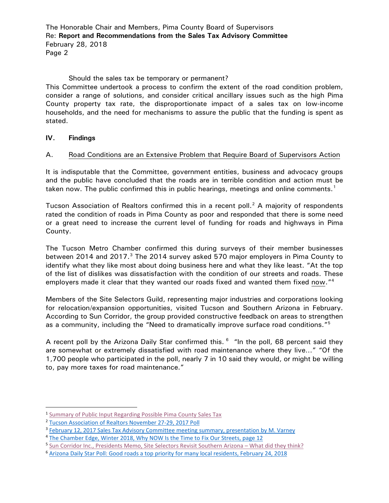## Should the sales tax be temporary or permanent?

This Committee undertook a process to confirm the extent of the road condition problem, consider a range of solutions, and consider critical ancillary issues such as the high Pima County property tax rate, the disproportionate impact of a sales tax on low-income households, and the need for mechanisms to assure the public that the funding is spent as stated.

## **IV. Findings**

## A. Road Conditions are an Extensive Problem that Require Board of Supervisors Action

It is indisputable that the Committee, government entities, business and advocacy groups and the public have concluded that the roads are in terrible condition and action must be taken now. The public confirmed this in public hearings, meetings and online comments.<sup>[1](#page-1-0)</sup>

Tucson Association of Realtors confirmed this in a recent poll.<sup>[2](#page-1-1)</sup> A majority of respondents rated the condition of roads in Pima County as poor and responded that there is some need or a great need to increase the current level of funding for roads and highways in Pima County.

The Tucson Metro Chamber confirmed this during surveys of their member businesses between 2014 and 2017.<sup>[3](#page-1-2)</sup> The 2014 survey asked 570 major employers in Pima County to identify what they like most about doing business here and what they like least. "At the top of the list of dislikes was dissatisfaction with the condition of our streets and roads. These employers made it clear that they wanted our roads fixed and wanted them fixed now."<sup>[4](#page-1-3)</sup>

Members of the Site Selectors Guild, representing major industries and corporations looking for relocation/expansion opportunities, visited Tucson and Southern Arizona in February. According to Sun Corridor, the group provided constructive feedback on areas to strengthen as a community, including the "Need to dramatically improve surface road conditions."<sup>[5](#page-1-4)</sup>

A recent poll by the Arizona Daily Star confirmed this.  $6$  "In the poll, 68 percent said they are somewhat or extremely dissatisfied with road maintenance where they live…" "Of the 1,700 people who participated in the poll, nearly 7 in 10 said they would, or might be willing to, pay more taxes for road maintenance."

<span id="page-1-0"></span> <sup>1</sup> [Summary of Public Input Regarding Possible Pima County Sales Tax](http://webcms.pima.gov/UserFiles/Servers/Server_6/File/Government/Transportation/Sales%20Tax%20Advisory%20Committee/FINAL.Summary%20of%20Public%20Input%20Regarding%20Possible%20Pima%20County%20Sales%20Tax%203.1.18.pdf)

<span id="page-1-1"></span><sup>2</sup> [Tucson Association of Realtors November 27-29, 2017 Poll](http://webcms.pima.gov/UserFiles/Servers/Server_6/File/Government/Transportation/Sales%20Tax%20Advisory%20Committee/Meeting%20Materials/2.12.2018%20Meeting/Tucson%20Association%20of%20REALTORS%202017%20Poll.pdf)

<span id="page-1-2"></span><sup>3</sup> [February 12, 2017 Sales Tax Advisory Committee meeting summary, presentation by M. Varney](http://webcms.pima.gov/UserFiles/Servers/Server_6/File/Government/Transportation/Sales%20Tax%20Advisory%20Committee/Meeting%20Summaries/2018.02.12.STAC%20meeting%20summary.pdf)

<span id="page-1-3"></span><sup>&</sup>lt;sup>4</sup> [The Chamber Edge, Winter 2018, Why NOW Is the Time to Fix Our Streets, page 12](https://tucsonchamber.org/wp-content/uploads/2018/01/Chamber-Edge-Winter-2018-web-compressed.pdf)<br><sup>5</sup> Sun Corridor Inc., Presidents Memo, Site Selectors Revisit Southern Arizona – What did they think?

<span id="page-1-4"></span>

<span id="page-1-5"></span><sup>&</sup>lt;sup>6</sup> [Arizona Daily Star Poll: Good roads a top priority for many local residents, February 24, 2018](http://tucson.com/news/local/poll-good-roads-a-top-priority-for-many-local-residents/article_7b117f38-15a9-5863-aca4-8e8336d0423e.html)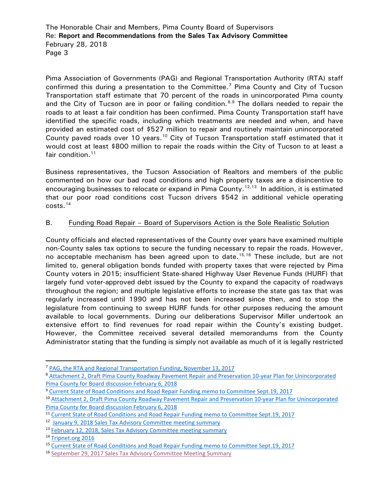Pima Association of Governments (PAG) and Regional Transportation Authority (RTA) staff confirmed this during a presentation to the Committee.<sup>[7](#page-2-0)</sup> Pima County and City of Tucson Transportation staff estimate that 70 percent of the roads in unincorporated Pima county and the City of Tucson are in poor or failing condition.<sup>[8,](#page-2-1)[9](#page-2-2)</sup> The dollars needed to repair the roads to at least a fair condition has been confirmed. Pima County Transportation staff have identified the specific roads, including which treatments are needed and when, and have provided an estimated cost of \$527 million to repair and routinely maintain unincorporated County paved roads over [10](#page-2-3) years.<sup>10</sup> City of Tucson Transportation staff estimated that it would cost at least \$800 million to repair the roads within the City of Tucson to at least a fair condition.<sup>[11](#page-2-4)</sup>

Business representatives, the Tucson Association of Realtors and members of the public commented on how our bad road conditions and high property taxes are a disincentive to encouraging businesses to relocate or expand in Pima County.<sup>[12](#page-2-5),[13](#page-2-6)</sup> In addition, it is estimated that our poor road conditions cost Tucson drivers \$542 in additional vehicle operating costs. [14](#page-2-7)

# B. Funding Road Repair - Board of Supervisors Action is the Sole Realistic Solution

County officials and elected representatives of the County over years have examined multiple non-County sales tax options to secure the funding necessary to repair the roads. However, no acceptable mechanism has been agreed upon to date.<sup>[15](#page-2-8),[16](#page-2-9)</sup> These include, but are not limited to, general obligation bonds funded with property taxes that were rejected by Pima County voters in 2015; insufficient State-shared Highway User Revenue Funds (HURF) that largely fund voter-approved debt issued by the County to expand the capacity of roadways throughout the region; and multiple legislative efforts to increase the state gas tax that was regularly increased until 1990 and has not been increased since then, and to stop the legislature from continuing to sweep HURF funds for other purposes reducing the amount available to local governments. During our deliberations Supervisor Miller undertook an extensive effort to find revenues for road repair within the County's existing budget. However, the Committee received several detailed memorandums from the County Administrator stating that the funding is simply not available as much of it is legally restricted

<span id="page-2-0"></span> <sup>7</sup> [PAG, the RTA and Regional Transportation Funding, November 13, 2017](http://webcms.pima.gov/UserFiles/Servers/Server_6/File/Government/Transportation/Sales%20Tax%20Advisory%20Committee/Meeting%20Materials/11.13.2017%20Meeting/PAG%20transportation%20funding%20slides%20Nov.%2013%202017.pdf)

<span id="page-2-1"></span><sup>8</sup> Attachment 2, [Draft Pima County Roadway Pavement Repair and Preservation 10-year Plan for Unincorporated](http://webcms.pima.gov/UserFiles/Servers/Server_6/File/Government/Transportation/Sales%20Tax%20Advisory%20Committee/Post%20Meeting%20Correspondence/2018.02.06.bd-draft.sales.tax.implementation.plan.ord.road.repair.plan.pdf)  [Pima County for Board discussion February 6, 2018](http://webcms.pima.gov/UserFiles/Servers/Server_6/File/Government/Transportation/Sales%20Tax%20Advisory%20Committee/Post%20Meeting%20Correspondence/2018.02.06.bd-draft.sales.tax.implementation.plan.ord.road.repair.plan.pdf)

<span id="page-2-2"></span><sup>&</sup>lt;sup>9</sup> [Current State of Road Conditions and Road Repair Funding memo to Committee Sept.19,](http://webcms.pima.gov/UserFiles/Servers/Server_6/File/Government/Transportation/Sales%20Tax%20Advisory%20Committee/Meeting%20Materials/9.29.2017%20Meeting/2017.09.19.STAC-STAC.meeting.purpose.scope.pdf) 2017

<span id="page-2-3"></span><sup>&</sup>lt;sup>10</sup> Attachment 2, Draft Pima County Roadway Pavement Repair and Preservation 10-year Plan for Unincorporated [Pima County for Board discussion February 6, 2018](http://webcms.pima.gov/UserFiles/Servers/Server_6/File/Government/Transportation/Sales%20Tax%20Advisory%20Committee/Post%20Meeting%20Correspondence/2018.02.06.bd-draft.sales.tax.implementation.plan.ord.road.repair.plan.pdf)

<span id="page-2-4"></span><sup>11</sup> [Current State of Road Conditions and Road Repair Funding memo to Committee Sept.19,](http://webcms.pima.gov/UserFiles/Servers/Server_6/File/Government/Transportation/Sales%20Tax%20Advisory%20Committee/Meeting%20Materials/9.29.2017%20Meeting/2017.09.19.STAC-STAC.meeting.purpose.scope.pdf) 2017

<span id="page-2-5"></span><sup>&</sup>lt;sup>12</sup> [January 9, 2018 Sales Tax Advisory Committee meeting summary](http://webcms.pima.gov/UserFiles/Servers/Server_6/File/Government/Transportation/Sales%20Tax%20Advisory%20Committee/Meeting%20Summaries/2018.01.09.STAC%20meeting%20summary.pdf)

<span id="page-2-6"></span><sup>13</sup> February 12, [2018, Sales Tax Advisory Committee meeting summary](http://webcms.pima.gov/UserFiles/Servers/Server_6/File/Government/Transportation/Sales%20Tax%20Advisory%20Committee/Meeting%20Summaries/2018.02.12.STAC%20meeting%20summary.pdf)

<span id="page-2-7"></span><sup>14</sup> [Tripnet.org 2016](http://www.tripnet.org/docs/Urban_Roads_TRIP_Report_Appendix_C_November_2016.pdf)

<span id="page-2-8"></span><sup>15</sup> [Current State of Road Conditions and Road Repair Funding memo to Committee Sept.19,](http://webcms.pima.gov/UserFiles/Servers/Server_6/File/Government/Transportation/Sales%20Tax%20Advisory%20Committee/Meeting%20Materials/9.29.2017%20Meeting/2017.09.19.STAC-STAC.meeting.purpose.scope.pdf) 2017

<span id="page-2-9"></span><sup>16</sup> [September 29, 2017 Sales Tax Advisory Committee Meeting Summary](http://webcms.pima.gov/UserFiles/Servers/Server_6/File/Government/Transportation/Sales%20Tax%20Advisory%20Committee/Meeting%20Summaries/2017.9.29.STAC%20meeting%20summary.FINAL.pdf)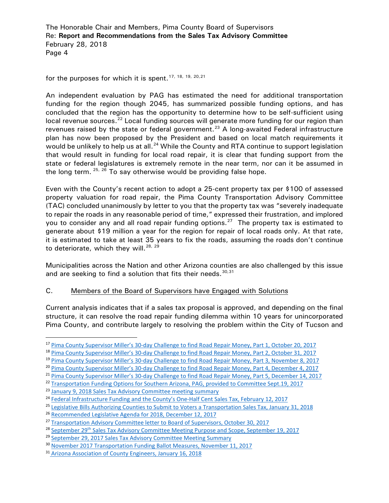for the purposes for which it is spent.<sup>[17,](#page-3-0) [18,](#page-3-1) [19,](#page-3-2) [20,](#page-3-3) [21](#page-3-4)</sup>

An independent evaluation by PAG has estimated the need for additional transportation funding for the region though 2045, has summarized possible funding options, and has concluded that the region has the opportunity to determine how to be self-sufficient using local revenue sources.<sup>[22](#page-3-5)</sup> Local funding sources will generate more funding for our region than revenues raised by the state or federal government.<sup>[23](#page-3-6)</sup> A long-awaited Federal infrastructure plan has now been proposed by the President and based on local match requirements it would be unlikely to help us at all.<sup>[24](#page-3-7)</sup> While the County and RTA continue to support legislation that would result in funding for local road repair, it is clear that funding support from the state or federal legislatures is extremely remote in the near term, nor can it be assumed in the long term.  $25, 26$  $25, 26$  $25, 26$  To say otherwise would be providing false hope.

Even with the County's recent action to adopt a 25-cent property tax per \$100 of assessed property valuation for road repair, the Pima County Transportation Advisory Committee (TAC) concluded unanimously by letter to you that the property tax was "severely inadequate to repair the roads in any reasonable period of time," expressed their frustration, and implored you to consider any and all road repair funding options.<sup>[27](#page-3-10)</sup> The property tax is estimated to generate about \$19 million a year for the region for repair of local roads only. At that rate, it is estimated to take at least 35 years to fix the roads, assuming the roads don't continue to deteriorate, which they will.<sup>[28,](#page-3-11) [29](#page-3-12)</sup>

Municipalities across the Nation and other Arizona counties are also challenged by this issue and are seeking to find a solution that fits their needs.  $30,31$  $30,31$ 

### C. Members of the Board of Supervisors have Engaged with Solutions

Current analysis indicates that if a sales tax proposal is approved, and depending on the final structure, it can resolve the road repair funding dilemma within 10 years for unincorporated Pima County, and contribute largely to resolving the problem within the City of Tucson and

<span id="page-3-0"></span> <sup>17</sup> [Pima County Supervisor Miller's 30-day Challenge to find Road Repair Money, Part 1, October 20, 2017](http://webcms.pima.gov/UserFiles/Servers/Server_6/File/Government/Transportation/Sales%20Tax%20Advisory%20Committee/Meeting%20Materials/10.27.2017/2017.10.20.STAC.TAC-miller.30.day.challenge.find.road.repair.money.response1.pdf)

<span id="page-3-1"></span><sup>&</sup>lt;sup>18</sup> [Pima County Supervisor Miller's 30-day Challenge to find Road Repair Money, Part 2, October 31, 2017](http://webcms.pima.gov/UserFiles/Servers/Server_6/File/Government/Transportation/Sales%20Tax%20Advisory%20Committee/Post%20Meeting%20Correspondence/stac.tac-sup.miller.30day.challange.find.road.money.part2.pdf)

<span id="page-3-2"></span><sup>19</sup> [Pima County Supervisor Miller's 30-day Challenge to find Road Repair Money, Part 3, November 8, 2017](http://webcms.pima.gov/UserFiles/Servers/Server_6/File/Government/Transportation/Sales%20Tax%20Advisory%20Committee/Meeting%20Materials/11.13.2017%20Meeting/stac.tac-sup.miller.30day.challange.find.road.money.part3.pdf)

<span id="page-3-3"></span><sup>&</sup>lt;sup>20</sup> [Pima County Supervisor Miller's 30-day Challenge to find Road Repair Money, Part 4, December 4, 2017](http://webcms.pima.gov/UserFiles/Servers/Server_6/File/Government/Transportation/Sales%20Tax%20Advisory%20Committee/Post%20Meeting%20Correspondence/2017.12.4.stac.tac-sup.miller.30day.challange.find.road.money.part4.pdf)

<span id="page-3-4"></span><sup>21</sup> [Pima County Supervisor Miller's 30-day Challenge to find Road Repair Money, Part 5, December 14, 2017](http://webcms.pima.gov/UserFiles/Servers/Server_6/File/Government/Transportation/Sales%20Tax%20Advisory%20Committee/Post%20Meeting%20Correspondence/2017.12.14.stac.tac-miller.30day.challenge.reponse.part5.pdf)

<span id="page-3-5"></span><sup>22</sup> [Transportation Funding Options for Southern Arizona, PAG, provided to Committee Sept.19, 2017](http://www.rtamobility.com/documents/pdfs/RTARTF/2016/RTARTF-2016-09-19-TransportationFundingOptions2016-04-28.pdf)

<span id="page-3-6"></span><sup>&</sup>lt;sup>23</sup> [January 9, 2018 Sales Tax Advisory Committee meeting summary](http://webcms.pima.gov/UserFiles/Servers/Server_6/File/Government/Transportation/Sales%20Tax%20Advisory%20Committee/Meeting%20Summaries/2018.01.09.STAC%20meeting%20summary.pdf)

<span id="page-3-7"></span><sup>&</sup>lt;sup>24</sup> [Federal Infrastructure Funding and the County's One-Half Cent Sales Tax, February 12, 2017](http://webcms.pima.gov/UserFiles/Servers/Server_6/File/Government/Transportation/Sales%20Tax%20Advisory%20Committee/Post%20Meeting%20Correspondence/2018.02.12.bd-federal.infrastructure.funding.county.half.cent.sales.tax.pdf)

<span id="page-3-8"></span><sup>25</sup> [Legislative Bills Authorizing Counties to Submit to Voters a Transportation Sales Tax, January 31, 2018](http://webcms.pima.gov/UserFiles/Servers/Server_6/File/Government/Transportation/Sales%20Tax%20Advisory%20Committee/Post%20Meeting%20Correspondence/2018.1.31.stactac-State%20Legislative%20Bills_1.pdf)

<span id="page-3-9"></span><sup>&</sup>lt;sup>26</sup> [Recommended Legislative Agenda for 2018, December 12, 2017](http://webcms.pima.gov/UserFiles/Servers/Server_6/File/Government/Transportation/Sales%20Tax%20Advisory%20Committee/Meeting%20Materials/12.14.2017%20Meeting/2017.12.12.stac-recommended.legislative.agenda.2018.pdf)

<span id="page-3-10"></span><sup>&</sup>lt;sup>27</sup> [Transportation Advisory Committee letter to Board of Supervisors, October 30, 2017](http://webcms.pima.gov/UserFiles/Servers/Server_6/File/Government/Transportation/Sales%20Tax%20Advisory%20Committee/Post%20Meeting%20Correspondence/2017.10.30.TAC.BOS.identify.adequate.funding.road.repair.needs.pdf)

<span id="page-3-11"></span><sup>&</sup>lt;sup>28</sup> September 29<sup>th</sup> [Sales Tax Advisory Committee Meeting Purpose and Scope, September 19, 2017](http://webcms.pima.gov/UserFiles/Servers/Server_6/File/Government/Transportation/Sales%20Tax%20Advisory%20Committee/Meeting%20Materials/9.29.2017%20Meeting/2017.09.19.STAC-STAC.meeting.purpose.scope.pdf)

<span id="page-3-12"></span><sup>&</sup>lt;sup>29</sup> [September 29, 2017 Sales Tax Advisory Committee Meeting Summary](http://webcms.pima.gov/UserFiles/Servers/Server_6/File/Government/Transportation/Sales%20Tax%20Advisory%20Committee/Meeting%20Summaries/2017.9.29.STAC%20meeting%20summary.FINAL.pdf)

<span id="page-3-13"></span><sup>&</sup>lt;sup>30</sup> [November 2017 Transportation Funding Ballot Measures, November 11, 2017](http://webcms.pima.gov/UserFiles/Servers/Server_6/File/Government/Transportation/Sales%20Tax%20Advisory%20Committee/Post%20Meeting%20Correspondence/2017.11.21.bd-nov.2017.transporation.funding.ballot.measures.pdf)

<span id="page-3-14"></span><sup>31</sup> [Arizona Association of County Engineers, January 16, 2018](http://webcms.pima.gov/UserFiles/Servers/Server_6/File/Government/Transportation/Sales%20Tax%20Advisory%20Committee/Post%20Meeting%20Correspondence/2018.01.16.Arizona%20Association%20of%20County%20Engineers%20-%20Roadway%20Draft%20Study.pdf)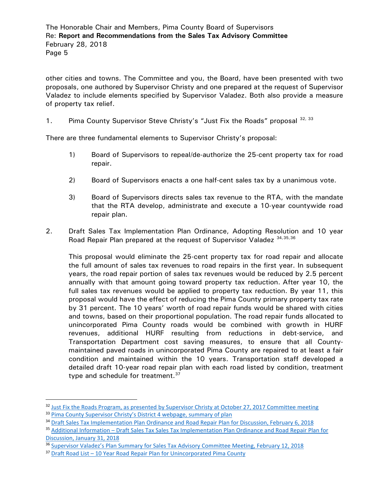other cities and towns. The Committee and you, the Board, have been presented with two proposals, one authored by Supervisor Christy and one prepared at the request of Supervisor Valadez to include elements specified by Supervisor Valadez. Both also provide a measure of property tax relief.

1. Pima County Supervisor Steve Christy's "Just Fix the Roads" proposal [32](#page-4-0), [33](#page-4-1)

There are three fundamental elements to Supervisor Christy's proposal:

- 1) Board of Supervisors to repeal/de-authorize the 25-cent property tax for road repair.
- 2) Board of Supervisors enacts a one half-cent sales tax by a unanimous vote.
- 3) Board of Supervisors directs sales tax revenue to the RTA, with the mandate that the RTA develop, administrate and execute a 10-year countywide road repair plan.
- 2. Draft Sales Tax Implementation Plan Ordinance, Adopting Resolution and 10 year Road Repair Plan prepared at the request of Supervisor Valadez [34,](#page-4-2)[35,](#page-4-3)[36](#page-4-4)

This proposal would eliminate the 25-cent property tax for road repair and allocate the full amount of sales tax revenues to road repairs in the first year. In subsequent years, the road repair portion of sales tax revenues would be reduced by 2.5 percent annually with that amount going toward property tax reduction. After year 10, the full sales tax revenues would be applied to property tax reduction. By year 11, this proposal would have the effect of reducing the Pima County primary property tax rate by 31 percent. The 10 years' worth of road repair funds would be shared with cities and towns, based on their proportional population. The road repair funds allocated to unincorporated Pima County roads would be combined with growth in HURF revenues, additional HURF resulting from reductions in debt-service, and Transportation Department cost saving measures, to ensure that all Countymaintained paved roads in unincorporated Pima County are repaired to at least a fair condition and maintained within the 10 years. Transportation staff developed a detailed draft 10-year road repair plan with each road listed by condition, treatment type and schedule for treatment.<sup>[37](#page-4-5)</sup>

<span id="page-4-0"></span><sup>&</sup>lt;sup>32</sup> [Just Fix the Roads Program, as presented by Supervisor Christy at October 27, 2017 Committee meeting](http://webcms.pima.gov/UserFiles/Servers/Server_6/File/Government/Transportation/Sales%20Tax%20Advisory%20Committee/Meeting%20Materials/10.27.2017/Supervisor-Steve-Christy-Just-Fix-the-Roads-Program.pdf) <sup>33</sup> [Pima County Supervisor Christy's District 4 webpage, summary of plan](http://webcms.pima.gov/UserFiles/Servers/Server_6/File/Government/Transportation/Sales%20Tax%20Advisory%20Committee/Post%20Meeting%20Correspondence/2018.1.31.stactac-State%20Legislative%20Bills_1.pdf)

<span id="page-4-1"></span>

<span id="page-4-2"></span><sup>&</sup>lt;sup>34</sup> [Draft Sales Tax Implementation Plan Ordinance and Road Repair Plan for Discussion, February 6, 2018](http://webcms.pima.gov/UserFiles/Servers/Server_6/File/Government/Transportation/Sales%20Tax%20Advisory%20Committee/Meeting%20Materials/2.12.2018%20Meeting/2018.02.06.bd-draft.sales.tax.implementation.plan.ord.road.repair.plan%20(002).pdf)

<span id="page-4-3"></span><sup>35</sup> Additional Information – [Draft Sales Tax Sales Tax Implementation Plan Ordinance and Road Repair Plan for](http://webcms.pima.gov/UserFiles/Servers/Server_6/File/Government/Transportation/Sales%20Tax%20Advisory%20Committee/Meeting%20Materials/2.12.2018%20Meeting/2018.1.31.bd.additional%20information%20sales%20tax%20ordinance%20and%20plan%20Feb%206%20Board%20meeting.pdf)  [Discussion, January 31, 2018](http://webcms.pima.gov/UserFiles/Servers/Server_6/File/Government/Transportation/Sales%20Tax%20Advisory%20Committee/Meeting%20Materials/2.12.2018%20Meeting/2018.1.31.bd.additional%20information%20sales%20tax%20ordinance%20and%20plan%20Feb%206%20Board%20meeting.pdf)

<span id="page-4-4"></span><sup>36</sup> [Supervisor Valadez's Plan Summary for Sales Tax Advisory Committee Meeting, February 12, 2018](http://webcms.pima.gov/UserFiles/Servers/Server_6/File/Government/Transportation/Sales%20Tax%20Advisory%20Committee/Meeting%20Materials/2.12.2018%20Meeting/Valadez%20Plan%20Summary_2.12.18.pdf)

<span id="page-4-5"></span><sup>37</sup> Draft Road List – [10 Year Road Repair Plan for Unincorporated Pima County](http://webcms.pima.gov/UserFiles/Servers/Server_6/File/Government/Transportation/Sales%20Tax%20Advisory%20Committee/Post%20Meeting%20Correspondence/Draft%20Road%20List%2010%20Year%20Plan%20for%20Unincorporated%20Pima%20County.pdf)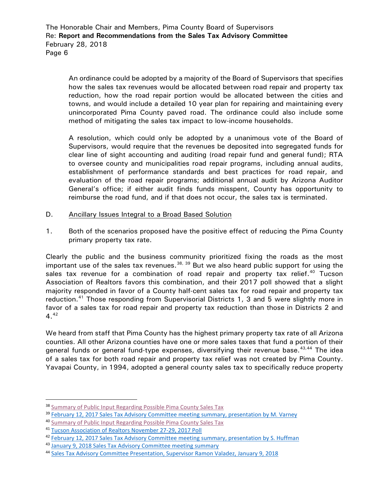An ordinance could be adopted by a majority of the Board of Supervisors that specifies how the sales tax revenues would be allocated between road repair and property tax reduction, how the road repair portion would be allocated between the cities and towns, and would include a detailed 10 year plan for repairing and maintaining every unincorporated Pima County paved road. The ordinance could also include some method of mitigating the sales tax impact to low-income households.

A resolution, which could only be adopted by a unanimous vote of the Board of Supervisors, would require that the revenues be deposited into segregated funds for clear line of sight accounting and auditing (road repair fund and general fund); RTA to oversee county and municipalities road repair programs, including annual audits, establishment of performance standards and best practices for road repair, and evaluation of the road repair programs; additional annual audit by Arizona Auditor General's office; if either audit finds funds misspent, County has opportunity to reimburse the road fund, and if that does not occur, the sales tax is terminated.

- D. Ancillary Issues Integral to a Broad Based Solution
- 1. Both of the scenarios proposed have the positive effect of reducing the Pima County primary property tax rate.

Clearly the public and the business community prioritized fixing the roads as the most important use of the sales tax revenues.<sup>[38,](#page-5-0) [39](#page-5-1)</sup> But we also heard public support for using the sales tax revenue for a combination of road repair and property tax relief.<sup>[40](#page-5-2)</sup> Tucson Association of Realtors favors this combination, and their 2017 poll showed that a slight majority responded in favor of a County half-cent sales tax for road repair and property tax reduction.<sup>[41](#page-5-3)</sup> Those responding from Supervisorial Districts 1, 3 and 5 were slightly more in favor of a sales tax for road repair and property tax reduction than those in Districts 2 and  $4^{42}$  $4^{42}$  $4^{42}$ 

We heard from staff that Pima County has the highest primary property tax rate of all Arizona counties. All other Arizona counties have one or more sales taxes that fund a portion of their general funds or general fund-type expenses, diversifying their revenue base.<sup>[43,](#page-5-5)[44](#page-5-6)</sup> The idea of a sales tax for both road repair and property tax relief was not created by Pima County. Yavapai County, in 1994, adopted a general county sales tax to specifically reduce property

<span id="page-5-0"></span><sup>&</sup>lt;sup>38</sup> [Summary of Public Input Regarding Possible Pima County Sales Tax](http://webcms.pima.gov/UserFiles/Servers/Server_6/File/Government/Transportation/Sales%20Tax%20Advisory%20Committee/FINAL.Summary%20of%20Public%20Input%20Regarding%20Possible%20Pima%20County%20Sales%20Tax%203.1.18.pdf)

<span id="page-5-1"></span><sup>39</sup> [February 12, 2017 Sales Tax Advisory Committee meeting summary, presentation by M. Varney](http://webcms.pima.gov/UserFiles/Servers/Server_6/File/Government/Transportation/Sales%20Tax%20Advisory%20Committee/Meeting%20Summaries/2018.02.12.STAC%20meeting%20summary.pdf)

<span id="page-5-2"></span><sup>40</sup> [Summary of Public Input Regarding Possible Pima County Sales Tax](http://webcms.pima.gov/UserFiles/Servers/Server_6/File/Government/Transportation/Sales%20Tax%20Advisory%20Committee/FINAL.Summary%20of%20Public%20Input%20Regarding%20Possible%20Pima%20County%20Sales%20Tax%203.1.18.pdf)

<span id="page-5-3"></span><sup>41</sup> [Tucson Association of Realtors November 27-29, 2017 Poll](http://webcms.pima.gov/UserFiles/Servers/Server_6/File/Government/Transportation/Sales%20Tax%20Advisory%20Committee/Meeting%20Materials/2.12.2018%20Meeting/Tucson%20Association%20of%20REALTORS%202017%20Poll.pdf)

<span id="page-5-4"></span><sup>42</sup> February 12, 2017 Sales Tax Advisory [Committee meeting summary, presentation by S. Huffman](http://webcms.pima.gov/UserFiles/Servers/Server_6/File/Government/Transportation/Sales%20Tax%20Advisory%20Committee/Meeting%20Summaries/2018.02.12.STAC%20meeting%20summary.pdf)

<span id="page-5-5"></span><sup>43</sup> January [9, 2018 Sales Tax Advisory Committee meeting summary](http://webcms.pima.gov/UserFiles/Servers/Server_6/File/Government/Transportation/Sales%20Tax%20Advisory%20Committee/Meeting%20Summaries/2018.01.09.STAC%20meeting%20summary.pdf)

<span id="page-5-6"></span><sup>44</sup> [Sales Tax Advisory Committee Presentation, Supervisor Ramon Valadez, January 9, 2018](http://webcms.pima.gov/UserFiles/Servers/Server_6/File/Government/Transportation/Sales%20Tax%20Advisory%20Committee/Meeting%20Materials/1.09.2018%20Meeting/20170109%20-%20Valadez%20STAC%20Presentation.pdf)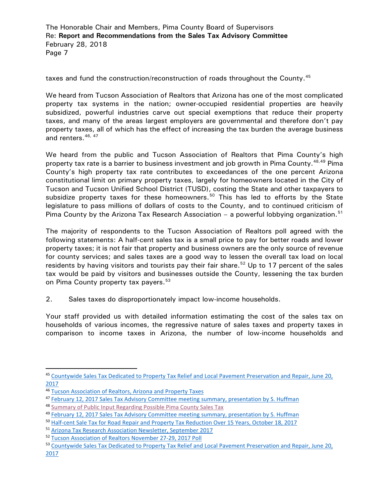taxes and fund the construction/reconstruction of roads throughout the County.<sup>[45](#page-6-0)</sup>

We heard from Tucson Association of Realtors that Arizona has one of the most complicated property tax systems in the nation; owner-occupied residential properties are heavily subsidized, powerful industries carve out special exemptions that reduce their property taxes, and many of the areas largest employers are governmental and therefore don't pay property taxes, all of which has the effect of increasing the tax burden the average business and renters.<sup>[46,](#page-6-1) [47](#page-6-2)</sup>

We heard from the public and Tucson Association of Realtors that Pima County's high property tax rate is a barrier to business investment and job growth in Pima County. <sup>[48,](#page-6-3)[49](#page-6-4)</sup> Pima County's high property tax rate contributes to exceedances of the one percent Arizona constitutional limit on primary property taxes, largely for homeowners located in the City of Tucson and Tucson Unified School District (TUSD), costing the State and other taxpayers to subsidize property taxes for these homeowners. [50](#page-6-5) This has led to efforts by the State legislature to pass millions of dollars of costs to the County, and to continued criticism of Pima County by the Arizona Tax Research Association - a powerful lobbying organization.<sup>[51](#page-6-6)</sup>

The majority of respondents to the Tucson Association of Realtors poll agreed with the following statements: A half-cent sales tax is a small price to pay for better roads and lower property taxes; it is not fair that property and business owners are the only source of revenue for county services; and sales taxes are a good way to lessen the overall tax load on local residents by having visitors and tourists pay their fair share.<sup>[52](#page-6-7)</sup> Up to 17 percent of the sales tax would be paid by visitors and businesses outside the County, lessening the tax burden on Pima County property tax payers.<sup>[53](#page-6-8)</sup>

2. Sales taxes do disproportionately impact low-income households.

Your staff provided us with detailed information estimating the cost of the sales tax on households of various incomes, the regressive nature of sales taxes and property taxes in comparison to income taxes in Arizona, the number of low-income households and

<span id="page-6-0"></span> <sup>45</sup> [Countywide Sales Tax Dedicated to Property Tax Relief and Local Pavement Preservation and Repair, June 20,](http://webcms.pima.gov/UserFiles/Servers/Server_6/File/Government/Administration/CHHmemosFor%20Web/2017/June/Countywide%20Sales%20Tax%20Dedicated%20to%20Property%20Tax%20Relief.pdf)  [2017](http://webcms.pima.gov/UserFiles/Servers/Server_6/File/Government/Administration/CHHmemosFor%20Web/2017/June/Countywide%20Sales%20Tax%20Dedicated%20to%20Property%20Tax%20Relief.pdf)

<span id="page-6-1"></span><sup>46</sup> [Tucson Association of Realtors, Arizona and Property Taxes](http://webcms.pima.gov/UserFiles/Servers/Server_6/File/Government/Transportation/Sales%20Tax%20Advisory%20Committee/Meeting%20Materials/9.29.2017%20Meeting/Tucson%20Association%20of%20Realtors%20Arizona%20Property%20Taxes.pdf)

<span id="page-6-2"></span><sup>47</sup> [February 12, 2017 Sales Tax Advisory Committee meeting summary, presentation by S. Huffman](http://webcms.pima.gov/UserFiles/Servers/Server_6/File/Government/Transportation/Sales%20Tax%20Advisory%20Committee/Meeting%20Summaries/2018.02.12.STAC%20meeting%20summary.pdf)

<span id="page-6-3"></span><sup>48</sup> [Summary of Public Input Regarding Possible Pima County Sales Tax](http://webcms.pima.gov/UserFiles/Servers/Server_6/File/Government/Transportation/Sales%20Tax%20Advisory%20Committee/FINAL.Summary%20of%20Public%20Input%20Regarding%20Possible%20Pima%20County%20Sales%20Tax%203.1.18.pdf)

<span id="page-6-4"></span><sup>49</sup> [February 12, 2017 Sales Tax Advisory Committee meeting summary, presentation by S. Huffman](http://webcms.pima.gov/UserFiles/Servers/Server_6/File/Government/Transportation/Sales%20Tax%20Advisory%20Committee/Meeting%20Summaries/2018.02.12.STAC%20meeting%20summary.pdf)

<span id="page-6-5"></span><sup>50</sup> [Half-cent Sale Tax for Road Repair and Property Tax Reduction Over 15 Years, October 18, 2017](http://webcms.pima.gov/UserFiles/Servers/Server_6/File/Government/Transportation/Sales%20Tax%20Advisory%20Committee/Meeting%20Materials/10.27.2017/stac-half.cent.sales.tax.road.repair.prop.tax.15.years.pdf)

<span id="page-6-6"></span><sup>51</sup> [Arizona Tax Research Association Newsletter, September 2017](http://webcms.pima.gov/UserFiles/Servers/Server_6/File/Government/Transportation/Sales%20Tax%20Advisory%20Committee/Meeting%20Materials/9.29.2017%20Meeting/2017.9.ATRA%20Newletter.pdf)

<span id="page-6-7"></span><sup>52</sup> [Tucson Association of Realtors November 27-29, 2017 Poll](http://webcms.pima.gov/UserFiles/Servers/Server_6/File/Government/Transportation/Sales%20Tax%20Advisory%20Committee/Meeting%20Materials/2.12.2018%20Meeting/Tucson%20Association%20of%20REALTORS%202017%20Poll.pdf)

<span id="page-6-8"></span><sup>53</sup> Countywide Sales Tax Dedicated to Property Tax Relief and Local Pavement Preservation and Repair, June 20, [2017](http://webcms.pima.gov/UserFiles/Servers/Server_6/File/Government/Administration/CHHmemosFor%20Web/2017/June/Countywide%20Sales%20Tax%20Dedicated%20to%20Property%20Tax%20Relief.pdf)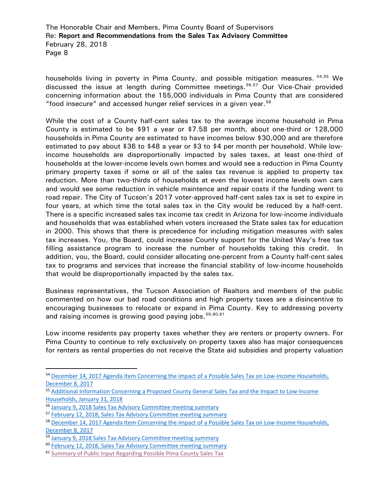households living in poverty in Pima County, and possible mitigation measures. [54,](#page-7-0)[55](#page-7-1) We discussed the issue at length during Committee meetings.<sup>[56,](#page-7-2)[57](#page-7-3)</sup> Our Vice-Chair provided concerning information about the 155,000 individuals in Pima County that are considered "food insecure" and accessed hunger relief services in a given year. [58](#page-7-4)

While the cost of a County half-cent sales tax to the average income household in Pima County is estimated to be \$91 a year or \$7.58 per month, about one-third or 128,000 households in Pima County are estimated to have incomes below \$30,000 and are therefore estimated to pay about \$36 to \$48 a year or \$3 to \$4 per month per household. While lowincome households are disproportionally impacted by sales taxes, at least one-third of households at the lower-income levels own homes and would see a reduction in Pima County primary property taxes if some or all of the sales tax revenue is applied to property tax reduction. More than two-thirds of households at even the lowest income levels own cars and would see some reduction in vehicle maintence and repair costs if the funding went to road repair. The City of Tucson's 2017 voter-approved half-cent sales tax is set to expire in four years, at which time the total sales tax in the City would be reduced by a half-cent. There is a specific increased sales tax income tax credit in Arizona for low-income individuals and households that was established when voters increased the State sales tax for education in 2000. This shows that there is precedence for including mitigation measures with sales tax increases. You, the Board, could increase County support for the United Way's free tax filling assistance program to increase the number of households taking this credit. In addition, you, the Board, could consider allocating one-percent from a County half-cent sales tax to programs and services that increase the financial stability of low-income households that would be disproportionally impacted by the sales tax.

Business representatives, the Tucson Association of Realtors and members of the public commented on how our bad road conditions and high property taxes are a disincentive to encouraging businesses to relocate or expand in Pima County. Key to addressing poverty and raising incomes is growing good paying jobs.<sup>[59](#page-7-5),[60,](#page-7-6)[61](#page-7-7)</sup>

Low income residents pay property taxes whether they are renters or property owners. For Pima County to continue to rely exclusively on property taxes also has major consequences for renters as rental properties do not receive the State aid subsidies and property valuation

<span id="page-7-0"></span><sup>54</sup> December 14, 2017 Agenda Item Concerning the impact of a Possible Sales Tax on Low-Income Households, [December 8, 2017](http://webcms.pima.gov/UserFiles/Servers/Server_6/File/Government/Transportation/Sales%20Tax%20Advisory%20Committee/Meeting%20Materials/12.14.2017%20Meeting/2017.12.8.stac-possible.sales.tax.low.income.households.pdf)

<span id="page-7-1"></span><sup>55</sup> [Additional Information Concerning a Proposed County General Sales Tax and the Impact to Low-Income](http://webcms.pima.gov/UserFiles/Servers/Server_6/File/Government/Transportation/Sales%20Tax%20Advisory%20Committee/Meeting%20Materials/2.12.2018%20Meeting/2018.1.31.stac.Sales%20Tax%20and%20the%20Impact%20to%20Low-Income%20Households.pdf)  [Households, January 31, 2018](http://webcms.pima.gov/UserFiles/Servers/Server_6/File/Government/Transportation/Sales%20Tax%20Advisory%20Committee/Meeting%20Materials/2.12.2018%20Meeting/2018.1.31.stac.Sales%20Tax%20and%20the%20Impact%20to%20Low-Income%20Households.pdf)

<span id="page-7-2"></span><sup>56</sup> [January 9, 2018 Sales Tax Advisory Committee meeting summary](http://webcms.pima.gov/UserFiles/Servers/Server_6/File/Government/Transportation/Sales%20Tax%20Advisory%20Committee/Meeting%20Summaries/2018.01.09.STAC%20meeting%20summary.pdf)

<span id="page-7-3"></span><sup>57</sup> [February 12, 2018, Sales Tax Advisory Committee meeting summary](http://webcms.pima.gov/UserFiles/Servers/Server_6/File/Government/Transportation/Sales%20Tax%20Advisory%20Committee/Meeting%20Summaries/2018.02.12.STAC%20meeting%20summary.pdf)

<span id="page-7-4"></span><sup>58</sup> December 14, 2017 Agenda Item Concerning the impact of a Possible Sales Tax on Low-Income Households, [December 8, 2017](http://webcms.pima.gov/UserFiles/Servers/Server_6/File/Government/Transportation/Sales%20Tax%20Advisory%20Committee/Meeting%20Materials/12.14.2017%20Meeting/2017.12.8.stac-possible.sales.tax.low.income.households.pdf)

<span id="page-7-5"></span><sup>&</sup>lt;sup>59</sup> [January 9, 2018 Sales Tax Advisory Committee meeting summary](http://webcms.pima.gov/UserFiles/Servers/Server_6/File/Government/Transportation/Sales%20Tax%20Advisory%20Committee/Meeting%20Summaries/2018.01.09.STAC%20meeting%20summary.pdf)

<span id="page-7-6"></span><sup>60</sup> [February 12, 2018, Sales Tax Advisory Committee meeting summary](http://webcms.pima.gov/UserFiles/Servers/Server_6/File/Government/Transportation/Sales%20Tax%20Advisory%20Committee/Meeting%20Summaries/2018.02.12.STAC%20meeting%20summary.pdf)

<span id="page-7-7"></span><sup>61</sup> [Summary of Public Input Regarding Possible Pima County Sales Tax](http://webcms.pima.gov/UserFiles/Servers/Server_6/File/Government/Transportation/Sales%20Tax%20Advisory%20Committee/FINAL.Summary%20of%20Public%20Input%20Regarding%20Possible%20Pima%20County%20Sales%20Tax%203.1.18.pdf)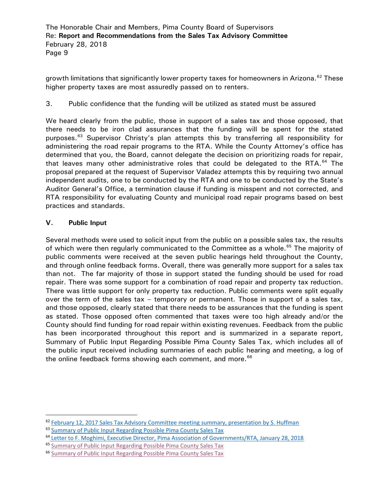growth limitations that significantly lower property taxes for homeowners in Arizona.<sup>[62](#page-8-0)</sup> These higher property taxes are most assuredly passed on to renters.

3. Public confidence that the funding will be utilized as stated must be assured

We heard clearly from the public, those in support of a sales tax and those opposed, that there needs to be iron clad assurances that the funding will be spent for the stated purposes.<sup>[63](#page-8-1)</sup> Supervisor Christy's plan attempts this by transferring all responsibility for administering the road repair programs to the RTA. While the County Attorney's office has determined that you, the Board, cannot delegate the decision on prioritizing roads for repair, that leaves many other administrative roles that could be delegated to the RTA. $^{64}$  $^{64}$  $^{64}$  The proposal prepared at the request of Supervisor Valadez attempts this by requiring two annual independent audits, one to be conducted by the RTA and one to be conducted by the State's Auditor General's Office, a termination clause if funding is misspent and not corrected, and RTA responsibility for evaluating County and municipal road repair programs based on best practices and standards.

# **V. Public Input**

Several methods were used to solicit input from the public on a possible sales tax, the results of which were then regularly communicated to the Committee as a whole.<sup>[65](#page-8-3)</sup> The majority of public comments were received at the seven public hearings held throughout the County, and through online feedback forms. Overall, there was generally more support for a sales tax than not. The far majority of those in support stated the funding should be used for road repair. There was some support for a combination of road repair and property tax reduction. There was little support for only property tax reduction. Public comments were split equally over the term of the sales tax – temporary or permanent. Those in support of a sales tax, and those opposed, clearly stated that there needs to be assurances that the funding is spent as stated. Those opposed often commented that taxes were too high already and/or the County should find funding for road repair within existing revenues. Feedback from the public has been incorporated throughout this report and is summarized in a separate report, Summary of Public Input Regarding Possible Pima County Sales Tax, which includes all of the public input received including summaries of each public hearing and meeting, a log of the online feedback forms showing each comment, and more.  $66$ 

<span id="page-8-0"></span><sup>&</sup>lt;sup>62</sup> [February 12, 2017 Sales Tax Advisory Committee meeting summary, presentation by S. Huffman](http://webcms.pima.gov/UserFiles/Servers/Server_6/File/Government/Transportation/Sales%20Tax%20Advisory%20Committee/Meeting%20Summaries/2018.02.12.STAC%20meeting%20summary.pdf)

<span id="page-8-1"></span><sup>&</sup>lt;sup>63</sup> [Summary of Public Input Regarding Possible Pima County Sales Tax](http://webcms.pima.gov/UserFiles/Servers/Server_6/File/Government/Transportation/Sales%20Tax%20Advisory%20Committee/Meeting%20Materials/2.28.2018%20Meeting/Draft%20summary%20of%20public%20input%20sales%20tax.pdf)

<span id="page-8-2"></span><sup>64</sup> [Letter to F. Moghimi, Executive Director, Pima Association of Governments/RTA, January 28, 2018](http://webcms.pima.gov/UserFiles/Servers/Server_6/File/Government/Transportation/Sales%20Tax%20Advisory%20Committee/Post%20Meeting%20Correspondence/2018.1.31.stactac-State%20Legislative%20Bills_1.pdf)

<span id="page-8-3"></span><sup>65</sup> [Summary of Public Input Regarding Possible Pima County Sales Tax](http://webcms.pima.gov/UserFiles/Servers/Server_6/File/Government/Transportation/Sales%20Tax%20Advisory%20Committee/FINAL.Summary%20of%20Public%20Input%20Regarding%20Possible%20Pima%20County%20Sales%20Tax%203.1.18.pdf)

<span id="page-8-4"></span><sup>66</sup> [Summary of Public Input Regarding Possible Pima County Sales Tax](http://webcms.pima.gov/UserFiles/Servers/Server_6/File/Government/Transportation/Sales%20Tax%20Advisory%20Committee/FINAL.Summary%20of%20Public%20Input%20Regarding%20Possible%20Pima%20County%20Sales%20Tax%203.1.18.pdf)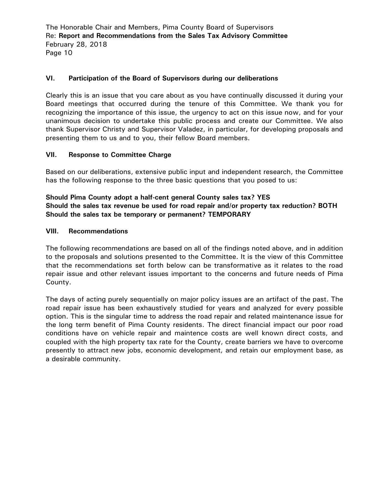## **VI. Participation of the Board of Supervisors during our deliberations**

Clearly this is an issue that you care about as you have continually discussed it during your Board meetings that occurred during the tenure of this Committee. We thank you for recognizing the importance of this issue, the urgency to act on this issue now, and for your unanimous decision to undertake this public process and create our Committee. We also thank Supervisor Christy and Supervisor Valadez, in particular, for developing proposals and presenting them to us and to you, their fellow Board members.

## **VII. Response to Committee Charge**

Based on our deliberations, extensive public input and independent research, the Committee has the following response to the three basic questions that you posed to us:

**Should Pima County adopt a half-cent general County sales tax? YES Should the sales tax revenue be used for road repair and/or property tax reduction? BOTH Should the sales tax be temporary or permanent? TEMPORARY**

### **VIII. Recommendations**

The following recommendations are based on all of the findings noted above, and in addition to the proposals and solutions presented to the Committee. It is the view of this Committee that the recommendations set forth below can be transformative as it relates to the road repair issue and other relevant issues important to the concerns and future needs of Pima County.

The days of acting purely sequentially on major policy issues are an artifact of the past. The road repair issue has been exhaustively studied for years and analyzed for every possible option. This is the singular time to address the road repair and related maintenance issue for the long term benefit of Pima County residents. The direct financial impact our poor road conditions have on vehicle repair and maintence costs are well known direct costs, and coupled with the high property tax rate for the County, create barriers we have to overcome presently to attract new jobs, economic development, and retain our employment base, as a desirable community.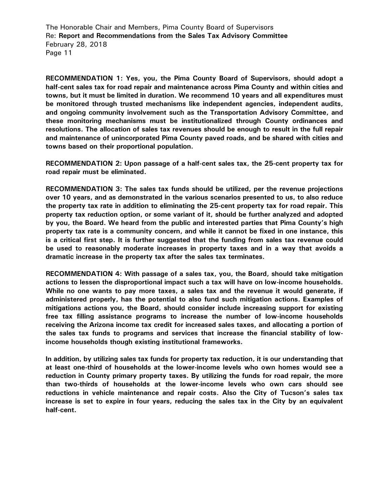**RECOMMENDATION 1: Yes, you, the Pima County Board of Supervisors, should adopt a half-cent sales tax for road repair and maintenance across Pima County and within cities and towns, but it must be limited in duration. We recommend 10 years and all expenditures must be monitored through trusted mechanisms like independent agencies, independent audits, and ongoing community involvement such as the Transportation Advisory Committee, and these monitoring mechanisms must be institutionalized through County ordinances and resolutions. The allocation of sales tax revenues should be enough to result in the full repair and maintenance of unincorporated Pima County paved roads, and be shared with cities and towns based on their proportional population.**

**RECOMMENDATION 2: Upon passage of a half-cent sales tax, the 25-cent property tax for road repair must be eliminated.** 

**RECOMMENDATION 3: The sales tax funds should be utilized, per the revenue projections over 10 years, and as demonstrated in the various scenarios presented to us, to also reduce the property tax rate in addition to eliminating the 25-cent property tax for road repair. This property tax reduction option, or some variant of it, should be further analyzed and adopted by you, the Board. We heard from the public and interested parties that Pima County's high property tax rate is a community concern, and while it cannot be fixed in one instance, this is a critical first step. It is further suggested that the funding from sales tax revenue could be used to reasonably moderate increases in property taxes and in a way that avoids a dramatic increase in the property tax after the sales tax terminates.** 

**RECOMMENDATION 4: With passage of a sales tax, you, the Board, should take mitigation actions to lessen the disproportional impact such a tax will have on low-income households. While no one wants to pay more taxes, a sales tax and the revenue it would generate, if administered properly, has the potential to also fund such mitigation actions. Examples of mitigations actions you, the Board, should consider include increasing support for existing free tax filling assistance programs to increase the number of low-income households receiving the Arizona income tax credit for increased sales taxes, and allocating a portion of the sales tax funds to programs and services that increase the financial stability of lowincome households though existing institutional frameworks.** 

**In addition, by utilizing sales tax funds for property tax reduction, it is our understanding that at least one-third of households at the lower-income levels who own homes would see a reduction in County primary property taxes. By utilizing the funds for road repair, the more than two-thirds of households at the lower-income levels who own cars should see reductions in vehicle maintenance and repair costs. Also the City of Tucson's sales tax increase is set to expire in four years, reducing the sales tax in the City by an equivalent half-cent.**